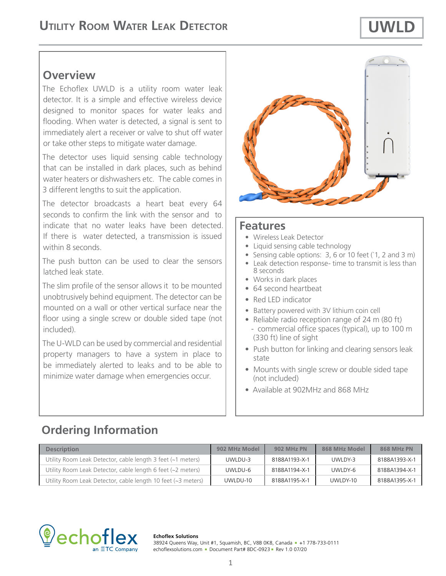# **Overview**

The Echoflex UWLD is a utility room water leak detector. It is a simple and effective wireless device designed to monitor spaces for water leaks and flooding. When water is detected, a signal is sent to immediately alert a receiver or valve to shut off water or take other steps to mitigate water damage.

The detector uses liquid sensing cable technology that can be installed in dark places, such as behind water heaters or dishwashers etc. The cable comes in 3 different lengths to suit the application.

The detector broadcasts a heart beat every 64 seconds to confirm the link with the sensor and to indicate that no water leaks have been detected. If there is water detected, a transmission is issued within 8 seconds.

The push button can be used to clear the sensors latched leak state.

The slim profile of the sensor allows it to be mounted unobtrusively behind equipment. The detector can be mounted on a wall or other vertical surface near the floor using a single screw or double sided tape (not included).

The U-WLD can be used by commercial and residential property managers to have a system in place to be immediately alerted to leaks and to be able to minimize water damage when emergencies occur.



### **Features**

- Wireless Leak Detector
- Liquid sensing cable technology
- Sensing cable options: 3, 6 or 10 feet (`1, 2 and 3 m)
- Leak detection response- time to transmit is less than 8 seconds
- Works in dark places
- 64 second heartbeat
- Red LED indicator
- Battery powered with 3V lithium coin cell
- Reliable radio reception range of 24 m (80 ft) - commercial office spaces (typical), up to 100 m (330 ft) line of sight
- Push button for linking and clearing sensors leak state
- Mounts with single screw or double sided tape (not included)
- Available at 902MHz and 868 MHz

# **Ordering Information**

| <b>Description</b>                                           | 902 MHz Model | <b>902 MHz PN</b> | 868 MHz Model | <b>868 MHz PN</b> |
|--------------------------------------------------------------|---------------|-------------------|---------------|-------------------|
| Utility Room Leak Detector, cable length 3 feet (~1 meters)  | UWLDU-3       | 8188A1193-X-1     | UWLDY-3       | 8188A1393-X-1     |
| Utility Room Leak Detector, cable length 6 feet (~2 meters)  | UWLDU-6       | 8188A1194-X-1     | UWLDY-6       | 8188A1394-X-1     |
| Utility Room Leak Detector, cable length 10 feet (~3 meters) | UWLDU-10      | 8188A1195-X-1     | UWLDY-10      | 8188A1395-X-1     |



#### **Echoflex Solutions**

38924 Queens Way, Unit #1, Squamish, BC, V8B 0K8, Canada = +1 778-733-0111 echoflexsolutions.com - Document Part# 8DC-0923 - Rev 1.0 07/20